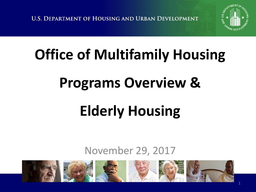**U.S. DEPARTMENT OF HOUSING AND URBAN DEVELOPMENT** 



# **Office of Multifamily Housing**

## **Programs Overview &**

# **Elderly Housing**

#### November 29, 2017

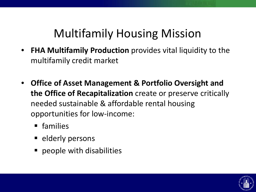### Multifamily Housing Mission

- **FHA Multifamily Production** provides vital liquidity to the multifamily credit market
- **Office of Asset Management & Portfolio Oversight and the Office of Recapitalization** create or preserve critically needed sustainable & affordable rental housing opportunities for low-income:
	- families
	- elderly persons
	- **P** people with disabilities

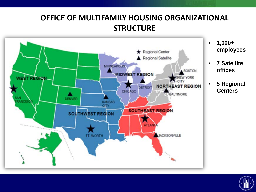#### **OFFICE OF MULTIFAMILY HOUSING ORGANIZATIONAL STRUCTURE**



**employees**

- **7 Satellite offices**
- **5 Regional Centers**

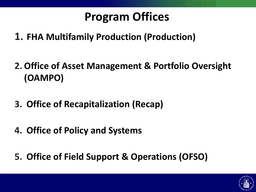### **Program Offices**

- **1. FHA Multifamily Production (Production)**
- **2. Office of Asset Management & Portfolio Oversight (OAMPO)**
- **3. Office of Recapitalization (Recap)**
- **4. Office of Policy and Systems**
- **5. Office of Field Support & Operations (OFSO)**

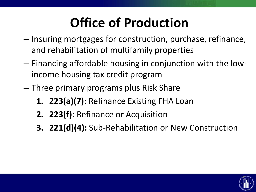## **Office of Production**

- Insuring mortgages for construction, purchase, refinance, and rehabilitation of multifamily properties
- Financing affordable housing in conjunction with the lowincome housing tax credit program
- Three primary programs plus Risk Share
	- **1. 223(a)(7):** Refinance Existing FHA Loan
	- **2. 223(f):** Refinance or Acquisition
	- **3. 221(d)(4):** Sub-Rehabilitation or New Construction

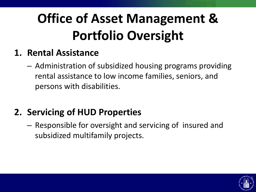## **Office of Asset Management & Portfolio Oversight**

#### **1. Rental Assistance**

– Administration of subsidized housing programs providing rental assistance to low income families, seniors, and persons with disabilities.

#### **2. Servicing of HUD Properties**

– Responsible for oversight and servicing of insured and subsidized multifamily projects.

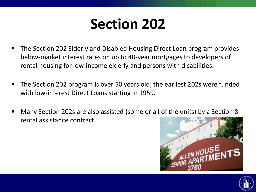## **Section 202**

- The Section 202 Elderly and Disabled Housing Direct Loan program provides below-market interest rates on up to 40-year mortgages to developers of rental housing for low-income elderly and persons with disabilities.
- The Section 202 program is over 50 years old; the earliest 202s were funded with low-interest Direct Loans starting in 1959.
- Many Section 202s are also assisted (some or all of the units) by a Section 8 rental assistance contract.



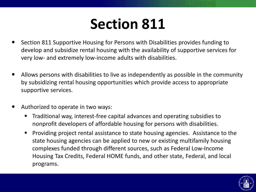## **Section 811**

- Section 811 Supportive Housing for Persons with Disabilities provides funding to develop and subsidize rental housing with the availability of supportive services for very low- and extremely low-income adults with disabilities.
- Allows persons with disabilities to live as independently as possible in the community by subsidizing rental housing opportunities which provide access to appropriate supportive services.
- Authorized to operate in two ways:
	- Traditional way, interest-free capital advances and operating subsidies to nonprofit developers of affordable housing for persons with disabilities.
	- **Providing project rental assistance to state housing agencies. Assistance to the** state housing agencies can be applied to new or existing multifamily housing complexes funded through different sources, such as Federal Low-Income Housing Tax Credits, Federal HOME funds, and other state, Federal, and local programs.

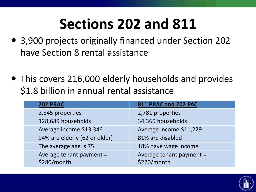## **Sections 202 and 811**

- 3,900 projects originally financed under Section 202 have Section 8 rental assistance
- This covers 216,000 elderly households and provides \$1.8 billion in annual rental assistance

| <b>202 PRAC</b>                         | 811 PRAC and 202 PAC                    |
|-----------------------------------------|-----------------------------------------|
| 2,845 properties                        | 2,781 properties                        |
| 128,689 households                      | 34,360 households                       |
| Average income \$13,346                 | Average income \$11,229                 |
| 94% are elderly (62 or older)           | 81% are disabled                        |
| The average age is 75                   | 18% have wage income                    |
| Average tenant payment =<br>\$280/month | Average tenant payment =<br>\$220/month |

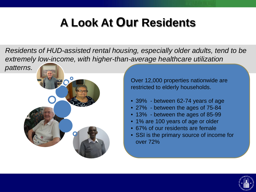### **A Look At Our Residents**

*Residents of HUD-assisted rental housing, especially older adults, tend to be extremely low-income, with higher-than-average healthcare utilization* 

*patterns.* 



Over 12,000 properties nationwide are restricted to elderly households.

- 39% between 62-74 years of age
- 27% between the ages of 75-84
- 13% between the ages of 85-99
- 1% are 100 years of age or older
- 67% of our residents are female
- SSI is the primary source of income for over 72%

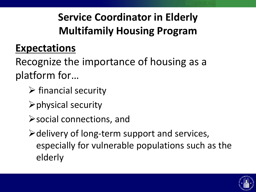#### **Service Coordinator in Elderly Multifamily Housing Program**

#### **Expectations**

Recognize the importance of housing as a platform for…

- $\triangleright$  financial security
- $\triangleright$  physical security
- social connections, and

 $\triangleright$  delivery of long-term support and services, especially for vulnerable populations such as the elderly

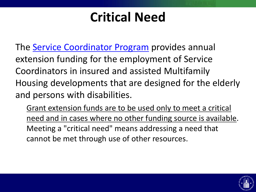## **Critical Need**

The **[Service Coordinator Program](https://www.hud.gov/program_offices/housing/mfh/scp/scphome)** provides annual extension funding for the employment of Service Coordinators in insured and assisted Multifamily Housing developments that are designed for the elderly and persons with disabilities.

Grant extension funds are to be used only to meet a critical need and in cases where no other funding source is available. Meeting a "critical need" means addressing a need that cannot be met through use of other resources.

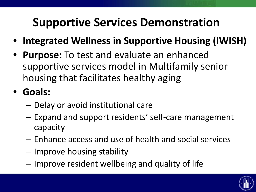### **Supportive Services Demonstration**

- **Integrated Wellness in Supportive Housing (IWISH)**
- **Purpose:** To test and evaluate an enhanced supportive services model in Multifamily senior housing that facilitates healthy aging
- **Goals:**
	- Delay or avoid institutional care
	- Expand and support residents' self-care management capacity
	- Enhance access and use of health and social services
	- Improve housing stability
	- Improve resident wellbeing and quality of life

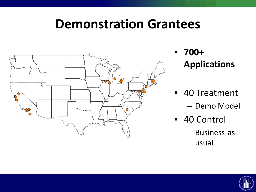### **Demonstration Grantees**



- **700+ Applications**
- 40 Treatment
	- Demo Model
- 40 Control
	- Business-asusual

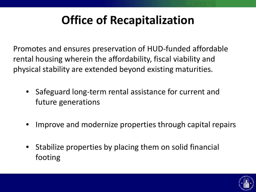### **Office of Recapitalization**

Promotes and ensures preservation of HUD-funded affordable rental housing wherein the affordability, fiscal viability and physical stability are extended beyond existing maturities.

- Safeguard long-term rental assistance for current and future generations
- Improve and modernize properties through capital repairs
- Stabilize properties by placing them on solid financial footing

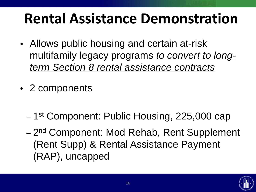## **Rental Assistance Demonstration**

- Allows public housing and certain at-risk multifamily legacy programs *to convert to longterm Section 8 rental assistance contracts*
- 2 components
	- 1st Component: Public Housing, 225,000 cap
	- 2<sup>nd</sup> Component: Mod Rehab, Rent Supplement (Rent Supp) & Rental Assistance Payment (RAP), uncapped